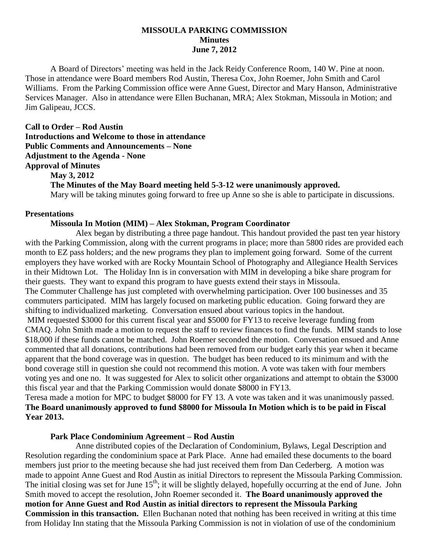#### **MISSOULA PARKING COMMISSION Minutes June 7, 2012**

A Board of Directors' meeting was held in the Jack Reidy Conference Room, 140 W. Pine at noon. Those in attendance were Board members Rod Austin, Theresa Cox, John Roemer, John Smith and Carol Williams. From the Parking Commission office were Anne Guest, Director and Mary Hanson, Administrative Services Manager. Also in attendance were Ellen Buchanan, MRA; Alex Stokman, Missoula in Motion; and Jim Galipeau, JCCS.

**Call to Order – Rod Austin Introductions and Welcome to those in attendance Public Comments and Announcements – None Adjustment to the Agenda - None Approval of Minutes May 3, 2012 The Minutes of the May Board meeting held 5-3-12 were unanimously approved.** Mary will be taking minutes going forward to free up Anne so she is able to participate in discussions.

#### **Presentations**

#### **Missoula In Motion (MIM) – Alex Stokman, Program Coordinator**

Alex began by distributing a three page handout. This handout provided the past ten year history with the Parking Commission, along with the current programs in place; more than 5800 rides are provided each month to EZ pass holders; and the new programs they plan to implement going forward. Some of the current employers they have worked with are Rocky Mountain School of Photography and Allegiance Health Services in their Midtown Lot. The Holiday Inn is in conversation with MIM in developing a bike share program for their guests. They want to expand this program to have guests extend their stays in Missoula. The Commuter Challenge has just completed with overwhelming participation. Over 100 businesses and 35 commuters participated. MIM has largely focused on marketing public education. Going forward they are shifting to individualized marketing. Conversation ensued about various topics in the handout. MIM requested \$3000 for this current fiscal year and \$5000 for FY13 to receive leverage funding from CMAQ. John Smith made a motion to request the staff to review finances to find the funds. MIM stands to lose \$18,000 if these funds cannot be matched. John Roemer seconded the motion. Conversation ensued and Anne commented that all donations, contributions had been removed from our budget early this year when it became apparent that the bond coverage was in question. The budget has been reduced to its minimum and with the bond coverage still in question she could not recommend this motion. A vote was taken with four members voting yes and one no. It was suggested for Alex to solicit other organizations and attempt to obtain the \$3000 this fiscal year and that the Parking Commission would donate \$8000 in FY13.

Teresa made a motion for MPC to budget \$8000 for FY 13. A vote was taken and it was unanimously passed. **The Board unanimously approved to fund \$8000 for Missoula In Motion which is to be paid in Fiscal Year 2013.**

#### **Park Place Condominium Agreement – Rod Austin**

Anne distributed copies of the Declaration of Condominium, Bylaws, Legal Description and Resolution regarding the condominium space at Park Place. Anne had emailed these documents to the board members just prior to the meeting because she had just received them from Dan Cederberg. A motion was made to appoint Anne Guest and Rod Austin as initial Directors to represent the Missoula Parking Commission. The initial closing was set for June  $15<sup>th</sup>$ ; it will be slightly delayed, hopefully occurring at the end of June. John Smith moved to accept the resolution, John Roemer seconded it. **The Board unanimously approved the motion for Anne Guest and Rod Austin as initial directors to represent the Missoula Parking Commission in this transaction.** Ellen Buchanan noted that nothing has been received in writing at this time from Holiday Inn stating that the Missoula Parking Commission is not in violation of use of the condominium